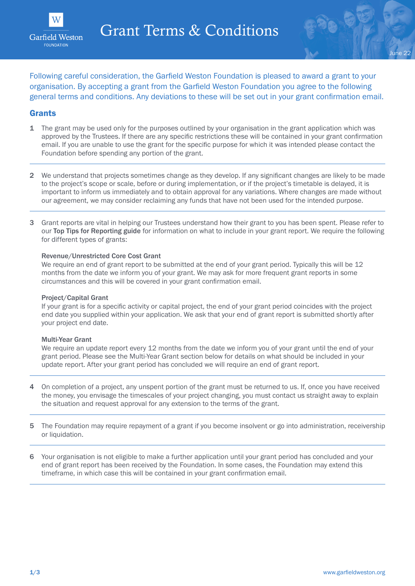



Following careful consideration, the Garfield Weston Foundation is pleased to award a grant to your organisation. By accepting a grant from the Garfield Weston Foundation you agree to the following general terms and conditions. Any deviations to these will be set out in your grant confirmation email.

### Grants

- 1 The grant may be used only for the purposes outlined by your organisation in the grant application which was approved by the Trustees. If there are any specific restrictions these will be contained in your grant confirmation email. If you are unable to use the grant for the specific purpose for which it was intended please contact the Foundation before spending any portion of the grant.
- 2 We understand that projects sometimes change as they develop. If any significant changes are likely to be made to the project's scope or scale, before or during implementation, or if the project's timetable is delayed, it is important to inform us immediately and to obtain approval for any variations. Where changes are made without our agreement, we may consider reclaiming any funds that have not been used for the intended purpose.
- 3 Grant reports are vital in helping our Trustees understand how their grant to you has been spent. Please refer to our [Top Tips for Reporting guide](https://garfieldweston.org/wp-content/uploads/2022/01/Top-tips-for-grant-reporting.pdf) for information on what to include in your grant report. We require the following for different types of grants:

#### Revenue/Unrestricted Core Cost Grant

We require an end of grant report to be submitted at the end of your grant period. Typically this will be 12 months from the date we inform you of your grant. We may ask for more frequent grant reports in some circumstances and this will be covered in your grant confirmation email.

#### Project/Capital Grant

If your grant is for a specific activity or capital project, the end of your grant period coincides with the project end date you supplied within your application. We ask that your end of grant report is submitted shortly after your project end date.

#### Multi-Year Grant

We require an update report every 12 months from the date we inform you of your grant until the end of your grant period. Please see the Multi-Year Grant section below for details on what should be included in your update report. After your grant period has concluded we will require an end of grant report.

- 4 On completion of a project, any unspent portion of the grant must be returned to us. If, once you have received the money, you envisage the timescales of your project changing, you must contact us straight away to explain the situation and request approval for any extension to the terms of the grant.
- 5 The Foundation may require repayment of a grant if you become insolvent or go into administration, receivership or liquidation.
- 6 Your organisation is not eligible to make a further application until your grant period has concluded and your end of grant report has been received by the Foundation. In some cases, the Foundation may extend this timeframe, in which case this will be contained in your grant confirmation email.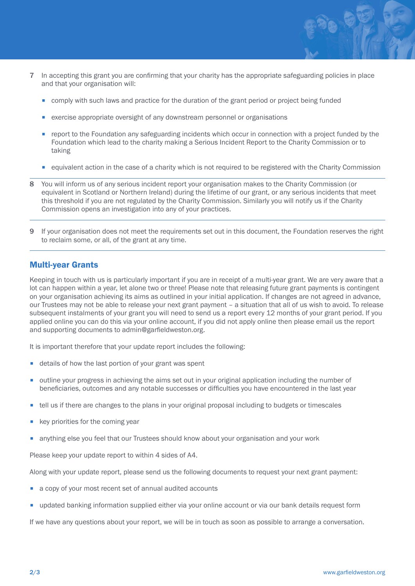

- 7 In accepting this grant you are confirming that your charity has the appropriate safeguarding policies in place and that your organisation will:
	- comply with such laws and practice for the duration of the grant period or project being funded
	- exercise appropriate oversight of any downstream personnel or organisations
	- report to the Foundation any safeguarding incidents which occur in connection with a project funded by the Foundation which lead to the charity making a Serious Incident Report to the Charity Commission or to taking
	- equivalent action in the case of a charity which is not required to be registered with the Charity Commission
- 8 You will inform us of any serious incident report your organisation makes to the Charity Commission (or equivalent in Scotland or Northern Ireland) during the lifetime of our grant, or any serious incidents that meet this threshold if you are not regulated by the Charity Commission. Similarly you will notify us if the Charity Commission opens an investigation into any of your practices.
- 9 If your organisation does not meet the requirements set out in this document, the Foundation reserves the right to reclaim some, or all, of the grant at any time.

# Multi-year Grants

Keeping in touch with us is particularly important if you are in receipt of a multi-year grant. We are very aware that a lot can happen within a year, let alone two or three! Please note that releasing future grant payments is contingent on your organisation achieving its aims as outlined in your initial application. If changes are not agreed in advance, our Trustees may not be able to release your next grant payment – a situation that all of us wish to avoid. To release subsequent instalments of your grant you will need to send us a report every 12 months of your grant period. If you applied online you can do this via your online account, if you did not apply online then please email us the report and supporting documents to admin@garfieldweston.org.

It is important therefore that your update report includes the following:

- details of how the last portion of your grant was spent
- outline your progress in achieving the aims set out in your original application including the number of beneficiaries, outcomes and any notable successes or difficulties you have encountered in the last year
- tell us if there are changes to the plans in your original proposal including to budgets or timescales
- key priorities for the coming year
- anything else you feel that our Trustees should know about your organisation and your work

Please keep your update report to within 4 sides of A4.

Along with your update report, please send us the following documents to request your next grant payment:

- a copy of your most recent set of annual audited accounts
- updated banking information supplied either via your online account or via our bank details request form

If we have any questions about your report, we will be in touch as soon as possible to arrange a conversation.